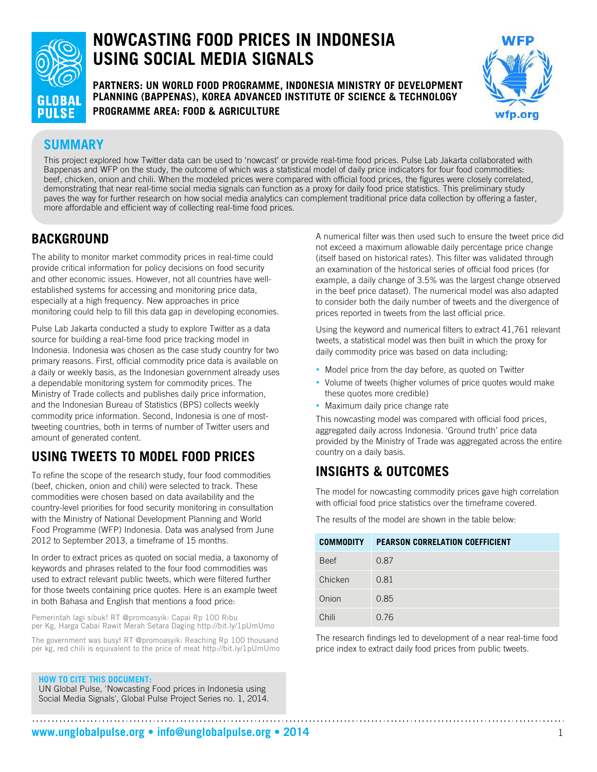

# **NOWCASTING FOOD PRICES IN INDONESIA USING SOCIAL MEDIA SIGNALS**

**PARTNERS: UN WORLD FOOD PROGRAMME, INDONESIA MINISTRY OF DEVELOPMENT PLANNING (BAPPENAS), KOREA ADVANCED INSTITUTE OF SCIENCE & TECHNOLOGY PROGRAMME AREA: FOOD & AGRICULTURE**



### **SUMMARY**

This project explored how Twitter data can be used to 'nowcast' or provide real-time food prices. Pulse Lab Jakarta collaborated with Bappenas and WFP on the study, the outcome of which was a statistical model of daily price indicators for four food commodities: beef, chicken, onion and chili. When the modeled prices were compared with official food prices, the figures were closely correlated, demonstrating that near real-time social media signals can function as a proxy for daily food price statistics. This preliminary study paves the way for further research on how social media analytics can complement traditional price data collection by offering a faster, more affordable and efficient way of collecting real-time food prices.

#### **BACKGROUND**

The ability to monitor market commodity prices in real-time could provide critical information for policy decisions on food security and other economic issues. However, not all countries have wellestablished systems for accessing and monitoring price data, especially at a high frequency. New approaches in price monitoring could help to fill this data gap in developing economies.

Pulse Lab Jakarta conducted a study to explore Twitter as a data source for building a real-time food price tracking model in Indonesia. Indonesia was chosen as the case study country for two primary reasons. First, official commodity price data is available on a daily or weekly basis, as the Indonesian government already uses a dependable monitoring system for commodity prices. The Ministry of Trade collects and publishes daily price information, and the Indonesian Bureau of Statistics (BPS) collects weekly commodity price information. Second, Indonesia is one of mosttweeting countries, both in terms of number of Twitter users and amount of generated content.

### **USING TWEETS TO MODEL FOOD PRICES**

To refine the scope of the research study, four food commodities (beef, chicken, onion and chili) were selected to track. These commodities were chosen based on data availability and the country-level priorities for food security monitoring in consultation with the Ministry of National Development Planning and World Food Programme (WFP) Indonesia. Data was analysed from June 2012 to September 2013, a timeframe of 15 months.

In order to extract prices as quoted on social media, a taxonomy of keywords and phrases related to the four food commodities was used to extract relevant public tweets, which were filtered further for those tweets containing price quotes. Here is an example tweet in both Bahasa and English that mentions a food price:

Pemerintah lagi sibuk! RT @promoasyik: Capai Rp 100 Ribu per Kg, Harga Cabai Rawit Merah Setara Daging http://bit.ly/1pUmUmo

The government was busy! RT @promoasyik: Reaching Rp 100 thousand per kg, red chili is equivalent to the price of meat http://bit.ly/1pUmUmo

**HOW TO CITE THIS DOCUMENT:**

UN Global Pulse, 'Nowcasting Food prices in Indonesia using Social Media Signals', Global Pulse Project Series no. 1, 2014.

A numerical filter was then used such to ensure the tweet price did not exceed a maximum allowable daily percentage price change (itself based on historical rates). This filter was validated through an examination of the historical series of official food prices (for example, a daily change of 3.5% was the largest change observed in the beef price dataset). The numerical model was also adapted to consider both the daily number of tweets and the divergence of prices reported in tweets from the last official price.

Using the keyword and numerical filters to extract 41,761 relevant tweets, a statistical model was then built in which the proxy for daily commodity price was based on data including:

- Model price from the day before, as quoted on Twitter
- Volume of tweets (higher volumes of price quotes would make these quotes more credible)
- Maximum daily price change rate

This nowcasting model was compared with official food prices, aggregated daily across Indonesia. 'Ground truth' price data provided by the Ministry of Trade was aggregated across the entire country on a daily basis.

## **INSIGHTS & OUTCOMES**

The model for nowcasting commodity prices gave high correlation with official food price statistics over the timeframe covered.

| <b>COMMODITY</b> | <b>PEARSON CORRELATION COEFFICIENT</b> |
|------------------|----------------------------------------|
| <b>Beef</b>      | 0.87                                   |
| Chicken          | 0.81                                   |
| Onion            | 0.85                                   |
| Chili            | 0.76                                   |

The results of the model are shown in the table below:

The research findings led to development of a near real-time food price index to extract daily food prices from public tweets.